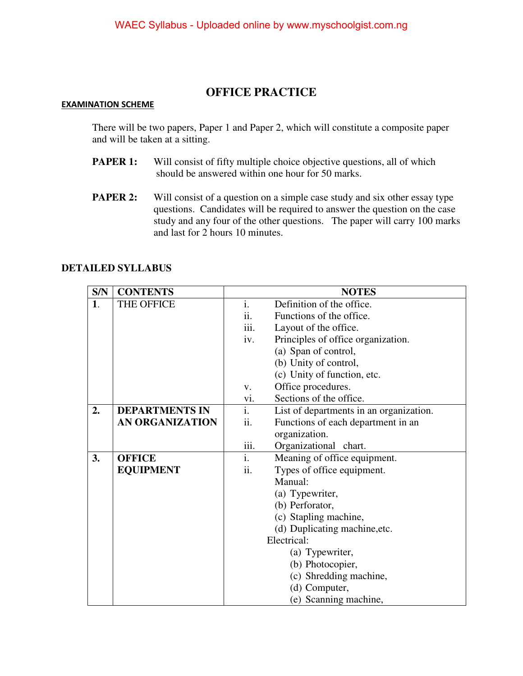## **OFFICE PRACTICE**

## **EXAMINATION SCHEME**

There will be two papers, Paper 1 and Paper 2, which will constitute a composite paper and will be taken at a sitting.

- **PAPER 1:** Will consist of fifty multiple choice objective questions, all of which should be answered within one hour for 50 marks.
- **PAPER 2:** Will consist of a question on a simple case study and six other essay type questions. Candidates will be required to answer the question on the case study and any four of the other questions. The paper will carry 100 marks and last for 2 hours 10 minutes.

|  | <b>DETAILED SYLLABUS</b> |
|--|--------------------------|
|--|--------------------------|

| S/N | <b>CONTENTS</b>        | <b>NOTES</b>   |                                         |
|-----|------------------------|----------------|-----------------------------------------|
| 1.  | THE OFFICE             | i.             | Definition of the office.               |
|     |                        | ii.            | Functions of the office.                |
|     |                        | iii.           | Layout of the office.                   |
|     |                        | iv.            | Principles of office organization.      |
|     |                        |                | (a) Span of control,                    |
|     |                        |                | (b) Unity of control,                   |
|     |                        |                | (c) Unity of function, etc.             |
|     |                        | V.             | Office procedures.                      |
|     |                        | vi.            | Sections of the office.                 |
| 2.  | <b>DEPARTMENTS IN</b>  | $\mathbf{i}$ . | List of departments in an organization. |
|     | <b>AN ORGANIZATION</b> | ii.            | Functions of each department in an      |
|     |                        |                | organization.                           |
|     |                        | iii.           | Organizational chart.                   |
| 3.  | <b>OFFICE</b>          | $\mathbf{i}$ . | Meaning of office equipment.            |
|     | <b>EQUIPMENT</b>       | ii.            | Types of office equipment.              |
|     |                        |                | Manual:                                 |
|     |                        |                | (a) Typewriter,                         |
|     |                        |                | (b) Perforator,                         |
|     |                        |                | (c) Stapling machine,                   |
|     |                        |                | (d) Duplicating machine, etc.           |
|     |                        |                | Electrical:                             |
|     |                        |                | (a) Typewriter,                         |
|     |                        |                | (b) Photocopier,                        |
|     |                        |                | (c) Shredding machine,                  |
|     |                        |                | (d) Computer,                           |
|     |                        |                | (e) Scanning machine,                   |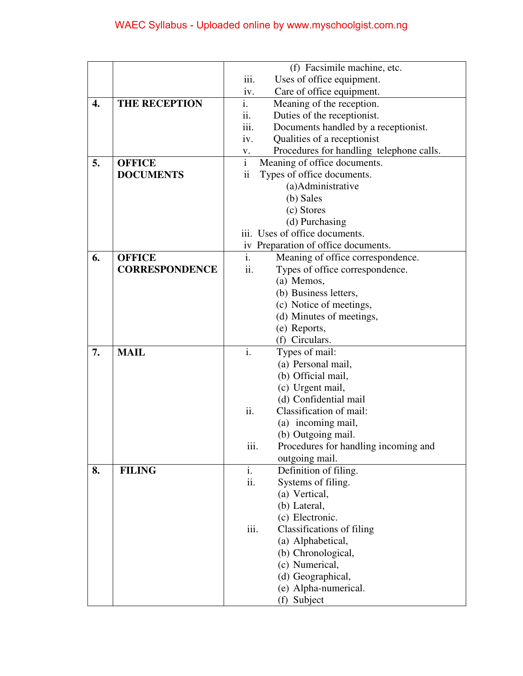|    |                       | (f) Facsimile machine, etc.                    |
|----|-----------------------|------------------------------------------------|
|    |                       | iii.<br>Uses of office equipment.              |
|    |                       | Care of office equipment.<br>iv.               |
| 4. | <b>THE RECEPTION</b>  | i.<br>Meaning of the reception.                |
|    |                       | ii.<br>Duties of the receptionist.             |
|    |                       | iii.<br>Documents handled by a receptionist.   |
|    |                       | Qualities of a receptionist<br>iv.             |
|    |                       | Procedures for handling telephone calls.<br>V. |
| 5. | <b>OFFICE</b>         | $\overline{i}$<br>Meaning of office documents. |
|    | <b>DOCUMENTS</b>      | $\ddot{\rm ii}$<br>Types of office documents.  |
|    |                       | (a)Administrative                              |
|    |                       | (b) Sales                                      |
|    |                       | (c) Stores                                     |
|    |                       | (d) Purchasing                                 |
|    |                       | iii. Uses of office documents.                 |
|    |                       | iv Preparation of office documents.            |
| 6. | <b>OFFICE</b>         | i.<br>Meaning of office correspondence.        |
|    | <b>CORRESPONDENCE</b> | ii.<br>Types of office correspondence.         |
|    |                       | (a) Memos,                                     |
|    |                       | (b) Business letters,                          |
|    |                       | (c) Notice of meetings,                        |
|    |                       | (d) Minutes of meetings,                       |
|    |                       | (e) Reports,                                   |
|    |                       | (f) Circulars.                                 |
| 7. | <b>MAIL</b>           | i.<br>Types of mail:                           |
|    |                       | (a) Personal mail,                             |
|    |                       | (b) Official mail,                             |
|    |                       | (c) Urgent mail,                               |
|    |                       | (d) Confidential mail                          |
|    |                       | ii.<br>Classification of mail:                 |
|    |                       | (a) incoming mail,                             |
|    |                       | (b) Outgoing mail.                             |
|    |                       | Procedures for handling incoming and<br>111.   |
|    |                       | outgoing mail.                                 |
| 8. | <b>FILING</b>         | i.<br>Definition of filing.                    |
|    |                       | ii.<br>Systems of filing.                      |
|    |                       | (a) Vertical,                                  |
|    |                       | (b) Lateral,                                   |
|    |                       | (c) Electronic.                                |
|    |                       | iii.<br>Classifications of filing              |
|    |                       | (a) Alphabetical,                              |
|    |                       | (b) Chronological,                             |
|    |                       | (c) Numerical,                                 |
|    |                       | (d) Geographical,                              |
|    |                       | (e) Alpha-numerical.                           |
|    |                       | (f) Subject                                    |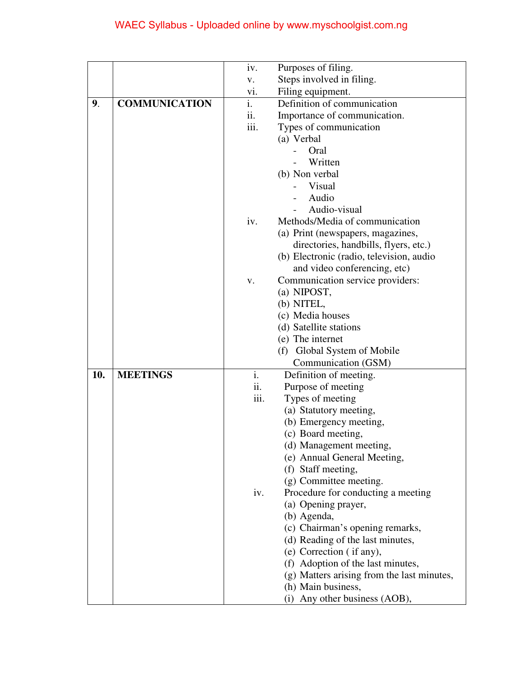|     |                      | iv.  | Purposes of filing.                        |
|-----|----------------------|------|--------------------------------------------|
|     |                      | V.   | Steps involved in filing.                  |
|     |                      | vi.  | Filing equipment.                          |
| 9.  | <b>COMMUNICATION</b> | i.   | Definition of communication                |
|     |                      | 11.  | Importance of communication.               |
|     |                      | iii. | Types of communication                     |
|     |                      |      | (a) Verbal                                 |
|     |                      |      | Oral                                       |
|     |                      |      | Written                                    |
|     |                      |      | (b) Non verbal                             |
|     |                      |      | Visual                                     |
|     |                      |      | Audio                                      |
|     |                      |      | Audio-visual                               |
|     |                      | iv.  | Methods/Media of communication             |
|     |                      |      | (a) Print (newspapers, magazines,          |
|     |                      |      | directories, handbills, flyers, etc.)      |
|     |                      |      | (b) Electronic (radio, television, audio   |
|     |                      |      | and video conferencing, etc)               |
|     |                      | v.   | Communication service providers:           |
|     |                      |      | (a) NIPOST,                                |
|     |                      |      | (b) NITEL,                                 |
|     |                      |      | (c) Media houses                           |
|     |                      |      | (d) Satellite stations                     |
|     |                      |      | (e) The internet                           |
|     |                      |      | (f) Global System of Mobile                |
|     |                      |      | Communication (GSM)                        |
| 10. | <b>MEETINGS</b>      | i.   | Definition of meeting.                     |
|     |                      | ii.  | Purpose of meeting                         |
|     |                      | iii. | Types of meeting                           |
|     |                      |      | (a) Statutory meeting,                     |
|     |                      |      | (b) Emergency meeting,                     |
|     |                      |      | (c) Board meeting,                         |
|     |                      |      | (d) Management meeting,                    |
|     |                      |      | (e) Annual General Meeting,                |
|     |                      |      | (f) Staff meeting,                         |
|     |                      |      | (g) Committee meeting.                     |
|     |                      | iv.  | Procedure for conducting a meeting         |
|     |                      |      | (a) Opening prayer,                        |
|     |                      |      | (b) Agenda,                                |
|     |                      |      | (c) Chairman's opening remarks,            |
|     |                      |      | (d) Reading of the last minutes,           |
|     |                      |      | (e) Correction (if any),                   |
|     |                      |      | (f) Adoption of the last minutes,          |
|     |                      |      | (g) Matters arising from the last minutes, |
|     |                      |      | (h) Main business,                         |
|     |                      |      | Any other business (AOB),<br>(i)           |